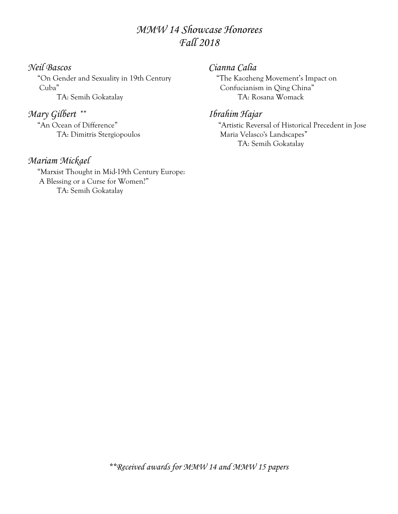# *MMW 14 Showcase Honorees Fall 2018*

# *Neil Bascos*

 "On Gender and Sexuality in 19th Century Cuba"

TA: Semih Gokatalay

# *Mary Gilbert* \*\*

 "An Ocean of Difference" TA: Dimitris Stergiopoulos

# *Mariam Mickael*

 "Marxist Thought in Mid-19th Century Europe: A Blessing or a Curse for Women?" TA: Semih Gokatalay

## *Cianna Calia*

 "The Kaozheng Movement's Impact on Confucianism in Qing China" TA: Rosana Womack

## *Ibrahim Hajar*

 "Artistic Reversal of Historical Precedent in Jose Maria Velasco's Landscapes" TA: Semih Gokatalay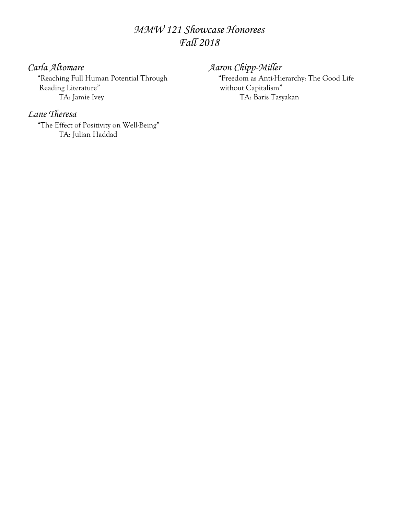# *MMW 121 Showcase Honorees Fall 2018*

# *Carla Altomare*

 "Reaching Full Human Potential Through Reading Literature" TA: Jamie Ivey

# *Lane Theresa*

 "The Effect of Positivity on Well-Being" TA: Julian Haddad

# *Aaron Chipp-Miller*

 "Freedom as Anti-Hierarchy: The Good Life without Capitalism" TA: Baris Tasyakan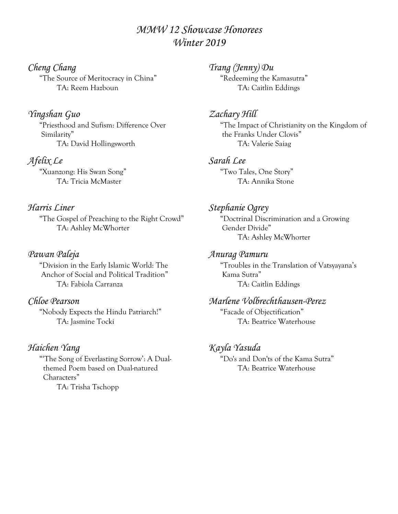# *MMW 12 Showcase Honorees Winter 2019*

*Cheng Chang* "The Source of Meritocracy in China" TA: Reem Hazboun

*Yingshan Guo* "Priesthood and Sufism: Difference Over Similarity" TA: David Hollingsworth

*Afelix Le* "Xuanzong: His Swan Song" TA: Tricia McMaster

# *Harris Liner*

 "The Gospel of Preaching to the Right Crowd" TA: Ashley McWhorter

### *Pawan Paleja*

 "Division in the Early Islamic World: The Anchor of Social and Political Tradition" TA: Fabiola Carranza

#### *Chloe Pearson*

 "Nobody Expects the Hindu Patriarch!" TA: Jasmine Tocki

# *Haichen Yang*

 "'The Song of Everlasting Sorrow': A Dual themed Poem based on Dual-natured Characters" TA: Trisha Tschopp

*Trang (Jenny) Du* "Redeeming the Kamasutra" TA: Caitlin Eddings

#### *Zachary Hill*

 "The Impact of Christianity on the Kingdom of the Franks Under Clovis" TA: Valerie Saiag

#### *Sarah Lee*

 "Two Tales, One Story" TA: Annika Stone

*Stephanie Ogrey*

 "Doctrinal Discrimination and a Growing Gender Divide" TA: Ashley McWhorter

### *Anurag Pamuru*

 "Troubles in the Translation of Vatsyayana's Kama Sutra" TA: Caitlin Eddings

#### *Marlene Volbrechthausen-Perez*

 "Facade of Objectification" TA: Beatrice Waterhouse

# *Kayla Yasuda*

 "Do's and Don'ts of the Kama Sutra" TA: Beatrice Waterhouse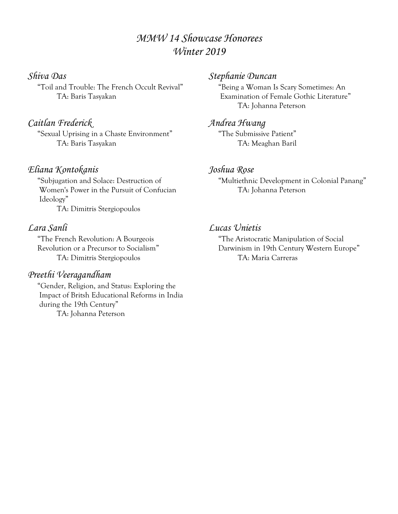# *MMW 14 Showcase Honorees Winter 2019*

# *Shiva Das*

 "Toil and Trouble: The French Occult Revival" TA: Baris Tasyakan

# *Caitlan Frederick*

 "Sexual Uprising in a Chaste Environment" TA: Baris Tasyakan

# *Eliana Kontokanis*

 "Subjugation and Solace: Destruction of Women's Power in the Pursuit of Confucian Ideology" TA: Dimitris Stergiopoulos

## *Lara Sanli*

 "The French Revolution: A Bourgeois Revolution or a Precursor to Socialism" TA: Dimitris Stergiopoulos

# *Preethi Veeragandham*

 "Gender, Religion, and Status: Exploring the Impact of Britsh Educational Reforms in India during the 19th Century" TA: Johanna Peterson

#### *Stephanie Duncan*

 "Being a Woman Is Scary Sometimes: An Examination of Female Gothic Literature" TA: Johanna Peterson

### *Andrea Hwang*

 "The Submissive Patient" TA: Meaghan Baril

#### *Joshua Rose*

 "Multiethnic Development in Colonial Panang" TA: Johanna Peterson

## *Lucas Unietis*

 "The Aristocratic Manipulation of Social Darwinism in 19th Century Western Europe" TA: Maria Carreras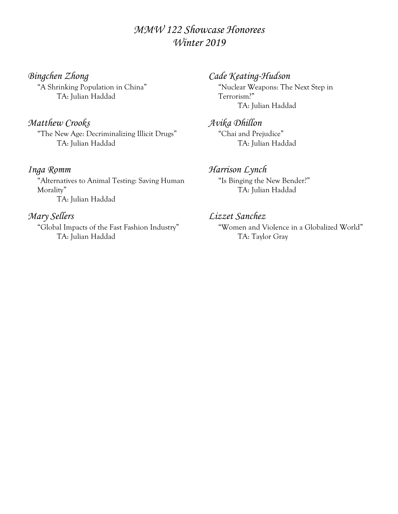# *MMW 122 Showcase Honorees Winter 2019*

*Bingchen Zhong* "A Shrinking Population in China" TA: Julian Haddad

# *Matthew Crooks*

 "The New Age: Decriminalizing Illicit Drugs" TA: Julian Haddad

#### *Inga Romm*

 "Alternatives to Animal Testing: Saving Human Morality" TA: Julian Haddad

### *Mary Sellers*

 "Global Impacts of the Fast Fashion Industry" TA: Julian Haddad

## *Cade Keating-Hudson*

 "Nuclear Weapons: The Next Step in Terrorism?" TA: Julian Haddad

*Avika Dhillon* "Chai and Prejudice" TA: Julian Haddad

#### *Harrison Lynch*

 "Is Binging the New Bender?" TA: Julian Haddad

# *Lizzet Sanchez*

 "Women and Violence in a Globalized World" TA: Taylor Gray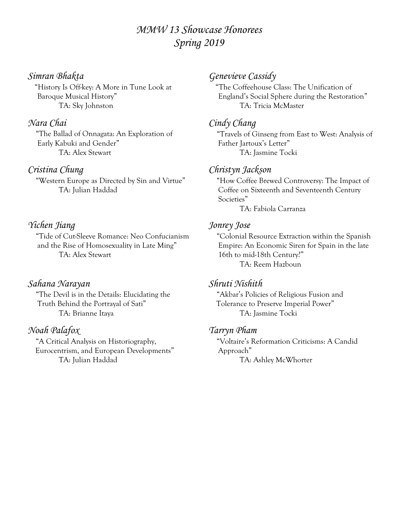# *MMW 13 Showcase Honorees Spring 2019*

# *Simran Bhakta*

 "History Is Off-key: A More in Tune Look at Baroque Musical History" TA: Sky Johnston

#### *Nara Chai*

 "The Ballad of Onnagata: An Exploration of Early Kabuki and Gender" TA: Alex Stewart

#### *Cristina Chung*

 "Western Europe as Directed by Sin and Virtue" TA: Julian Haddad

# *Yichen Jiang*

 "Tide of Cut-Sleeve Romance: Neo Confucianism and the Rise of Homosexuality in Late Ming" TA: Alex Stewart

### *Sahana Narayan*

 "The Devil is in the Details: Elucidating the Truth Behind the Portrayal of Sati" TA: Brianne Itaya

#### *Noah Palafox*

 "A Critical Analysis on Historiography, Eurocentrism, and European Developments" TA: Julian Haddad

# *Genevieve Cassidy*

 "The Coffeehouse Class: The Unification of England's Social Sphere during the Restoration" TA: Tricia McMaster

#### *Cindy Chang*

 "Travels of Ginseng from East to West: Analysis of Father Jartoux's Letter" TA: Jasmine Tocki

#### *Christyn Jackson*

 "How Coffee Brewed Controversy: The Impact of Coffee on Sixteenth and Seventeenth Century Societies"

TA: Fabiola Carranza

#### *Jonrey Jose*

 "Colonial Resource Extraction within the Spanish Empire: An Economic Siren for Spain in the late 16th to mid-18th Century?" TA: Reem Hazboun

#### *Shruti Nishith*

 "Akbar's Policies of Religious Fusion and Tolerance to Preserve Imperial Power" TA: Jasmine Tocki

#### *Tarryn Pham*

 "Voltaire's Reformation Criticisms: A Candid Approach"

TA: Ashley McWhorter